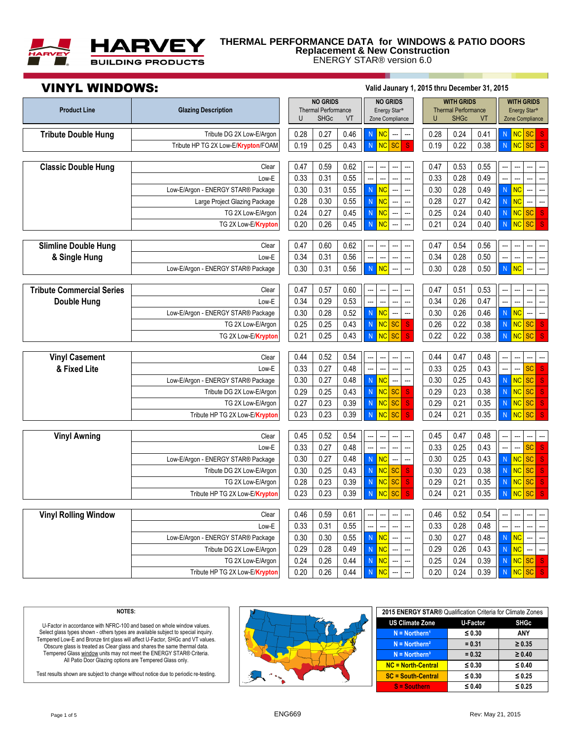

## **THERMAL PERFORMANCE DATA for WINDOWS & PATIO DOORS Replacement & New Construction**

ENERGY STAR® version 6.0

# VINYL WINDOWS: **Valid Jaunary 1, 2015 thru December 31, 2015**

| <b>Tribute Double Hung</b><br>0.28<br>0.27<br>0.28<br>0.24<br>Tribute DG 2X Low-E/Argon<br>0.46<br><b>NC</b><br>0.41<br><b>NC</b><br><b>SC</b><br>N<br>${\sf N}$<br><sub>S</sub><br>$\bar{\text{N}}$<br><b>NC</b><br><b>SC</b><br>$\bar{\text{N}}$<br><b>NC</b><br><b>SC</b><br>$\mathbf{s}$<br>0.25<br>0.43<br>0.19<br>0.22<br>0.38<br>0.19<br>S<br>Tribute HP TG 2X Low-E/Krypton/FOAM<br><b>Classic Double Hung</b><br>0.47<br>0.47<br>0.59<br>0.62<br>0.53<br>0.55<br>Clear<br>---<br>0.33<br>0.28<br>0.49<br>0.33<br>0.31<br>0.55<br>Low-E<br>$\bar{\text{N}}$<br>$\bar{\text{N}}$<br><b>NC</b><br>Low-E/Argon - ENERGY STAR® Package<br>0.30<br>0.31<br>0.55<br><b>NC</b><br>0.30<br>0.28<br>0.49<br><br><br><br>Ξ.<br><b>NC</b><br><b>NC</b><br>0.28<br>0.55<br>0.28<br>0.27<br>0.42<br>0.30<br>${\sf N}$<br>${\sf N}$<br>Large Project Glazing Package<br>0.24<br><b>NC</b><br><b>NC</b><br>0.27<br>0.45<br>$\overline{N}$<br>0.25<br>0.24<br>0.40<br>$\mathsf N$<br>TG 2X Low-E/Argon<br><b>SC</b><br><sub>S</sub><br><br>---<br><b>NC</b><br><b>NC</b><br>$\mathsf N$<br>$\bar{\text{N}}$<br><b>SC</b><br>${\bf S}$<br>0.20<br>0.26<br>0.45<br>0.21<br>0.24<br>0.40<br>TG 2X Low-E/Krypton<br>Щ,<br>---<br>0.47<br>0.47<br>0.60<br>0.62<br>0.54<br>0.56<br><b>Slimline Double Hung</b><br>Clear<br>L.<br><br>0.34<br>0.34<br>0.28<br>0.50<br>0.31<br>0.56<br>& Single Hung<br>Low-E<br>---<br>---<br>--<br><br>---<br>Ξ.<br>…<br>$\overline{N}$<br>$\overline{N}$<br><b>NC</b><br><b>NC</b><br>Low-E/Argon - ENERGY STAR® Package<br>0.30<br>0.31<br>0.56<br>0.30<br>0.28<br>0.50<br>Ξ.<br>L.<br><b>Tribute Commercial Series</b><br>0.47<br>0.57<br>0.60<br>0.47<br>0.51<br>0.53<br>Clear<br>---<br>0.34<br>0.29<br>0.53<br>Ξ.<br>0.34<br>0.26<br>0.47<br>$\overline{\phantom{a}}$<br>$\overline{a}$<br><b>Double Hung</b><br>Low-E<br>0.28<br>$\overline{N}$<br><b>NC</b><br>0.26<br>0.46<br>${\sf N}$<br><b>NC</b><br>0.30<br>0.52<br>0.30<br>Low-E/Argon - ENERGY STAR® Package<br>---<br>---<br><b>NC</b><br><b>NC</b><br>0.25<br>0.25<br>0.43<br>$\bar{\text{N}}$<br><b>SC</b><br>0.26<br>0.22<br>0.38<br>$\bar{\text{N}}$<br>SC<br>TG 2X Low-E/Argon<br>S<br><sub>S</sub><br>NC<br>0.43<br><b>NC</b><br><b>SC</b><br>0.22<br>0.22<br>0.38<br>$\bar{\text{N}}$<br><b>SC</b><br><sub>S</sub><br>TG 2X Low-E/Krypton<br>0.21<br>0.25<br>$\mathsf N$<br><sub>S</sub><br><b>Vinyl Casement</b><br>0.44<br>0.52<br>0.54<br>0.44<br>0.47<br>0.48<br>Clear<br>---<br>0.33<br><br>0.33<br>0.43<br>& Fixed Lite<br>0.27<br>0.48<br>0.25<br>Ξ.<br><sub>S</sub><br>Low-E<br>Ξ.<br><b>SC</b><br>Ξ.<br>$\overline{\phantom{a}}$<br>L.<br>${\sf N}$<br><b>NC</b><br>${\sf N}$<br><b>NC</b><br>SC<br>0.30<br>0.27<br>0.48<br>0.30<br>0.25<br>0.43<br>S<br>Low-E/Argon - ENERGY STAR® Package<br>---<br>$\overline{N}$<br><b>NC</b><br>$\mathsf N$<br><b>NC</b><br>SC<br>0.29<br>0.25<br>0.43<br><b>SC</b><br><sub>S</sub><br>0.29<br>0.23<br>0.38<br><sub>S</sub><br>Tribute DG 2X Low-E/Argon<br>0.27<br>0.23<br>0.39<br><b>NC</b><br>0.29<br>0.21<br>0.35<br><b>NC</b><br>TG 2X Low-E/Argon<br>${\sf N}$<br><b>SC</b><br>${\mathsf S}$<br>${\sf N}$<br><b>SC</b><br>${\mathsf S}$<br>0.24<br><b>SC</b><br>0.23<br>0.23<br>0.39<br>$\overline{N}$<br><b>NC</b><br><b>SC</b><br><sub>S</sub><br>0.21<br>0.35<br>$\mathsf N$<br><b>NC</b><br><sub>S</sub><br>Tribute HP TG 2X Low-E/Krypton<br><b>Vinyl Awning</b><br>0.45<br>0.52<br>0.54<br>0.45<br>0.47<br>0.48<br>Clear<br><br>0.33<br>0.27<br>0.48<br><br>0.33<br>0.25<br>0.43<br><br>SC<br><u></u><br>${\bf S}$<br>Low-E<br><br>L.<br>0.30<br>0.27<br>$\mathsf N$<br><b>NC</b><br>0.30<br>0.25<br>0.43<br>$\bar{\text{N}}$<br><b>NC</b><br><b>SC</b><br>0.48<br><sub>S</sub><br>Low-E/Argon - ENERGY STAR® Package<br>---<br>---<br>$\overline{\text{NC}}$<br>$\overline{\text{NC}}$<br>SC<br>0.30<br>0.25<br>0.43<br>0.30<br>0.23<br>0.38<br>S<br>Tribute DG 2X Low-E/Argon<br>$\overline{N}$<br><b>SC</b><br>$\mathsf{N}$<br><sub>S</sub><br>$\overline{\text{NC}}$<br>NC<br>$\overline{N}$<br><b>SC</b><br>${\bf S}$<br>$\bar{\text{N}}$<br><b>SC</b><br>0.28<br>0.23<br>0.39<br>0.29<br>0.21<br>0.35<br>S<br>TG 2X Low-E/Argon<br>0.23<br>0.23<br>0.24<br>0.35<br><b>SC</b><br>0.39<br>${\sf N}$<br><b>NC</b><br><b>SC</b><br>0.21<br>${\sf N}$<br><b>NC</b><br>Tribute HP TG 2X Low-E/Krypton<br>S<br>S<br><b>Vinyl Rolling Window</b><br>0.46<br>0.59<br>0.46<br>0.52<br>0.54<br>Clear<br>0.61<br>$\overline{a}$<br>0.48<br>0.33<br>0.31<br>0.55<br>0.33<br>0.28<br>Low-E<br><br>$\bar{\text{N}}$<br><b>NC</b><br>0.30<br>0.48<br>${\sf N}$<br><b>NC</b><br>0.30<br>0.30<br>0.55<br>0.27<br>Low-E/Argon - ENERGY STAR® Package<br>L.<br>L.<br>…<br><br>$\overline{\text{NC}}$<br>$\overline{\text{NC}}$<br>0.29<br>0.43<br>Tribute DG 2X Low-E/Argon<br>0.29<br>0.28<br>0.49<br>$\bar{\text{N}}$<br>0.26<br>$\bar{\text{N}}$<br><br>---<br>---<br>---<br><b>NC</b><br>0.24<br>0.26<br>0.44<br>0.25<br>0.24<br>0.39<br><b>NC</b><br><b>SC</b><br>$\overline{N}$<br>${\sf N}$<br>${\mathsf S}$<br>TG 2X Low-E/Argon<br><br>Ξ.<br>0.44<br>0.24<br>0.20<br>0.20<br><sub>S</sub> | <b>Product Line</b> | <b>Glazing Description</b>     | U | <b>NO GRIDS</b><br><b>Thermal Performance</b><br><b>SHGc</b> | VT | <b>NO GRIDS</b><br>Energy Star <sup>®</sup><br>Zone Compliance | <b>WITH GRIDS</b><br><b>Thermal Performance</b><br><b>SHGc</b><br>U | VT   | <b>WITH GRIDS</b><br>Energy Star <sup>®</sup><br>Zone Compliance |
|-----------------------------------------------------------------------------------------------------------------------------------------------------------------------------------------------------------------------------------------------------------------------------------------------------------------------------------------------------------------------------------------------------------------------------------------------------------------------------------------------------------------------------------------------------------------------------------------------------------------------------------------------------------------------------------------------------------------------------------------------------------------------------------------------------------------------------------------------------------------------------------------------------------------------------------------------------------------------------------------------------------------------------------------------------------------------------------------------------------------------------------------------------------------------------------------------------------------------------------------------------------------------------------------------------------------------------------------------------------------------------------------------------------------------------------------------------------------------------------------------------------------------------------------------------------------------------------------------------------------------------------------------------------------------------------------------------------------------------------------------------------------------------------------------------------------------------------------------------------------------------------------------------------------------------------------------------------------------------------------------------------------------------------------------------------------------------------------------------------------------------------------------------------------------------------------------------------------------------------------------------------------------------------------------------------------------------------------------------------------------------------------------------------------------------------------------------------------------------------------------------------------------------------------------------------------------------------------------------------------------------------------------------------------------------------------------------------------------------------------------------------------------------------------------------------------------------------------------------------------------------------------------------------------------------------------------------------------------------------------------------------------------------------------------------------------------------------------------------------------------------------------------------------------------------------------------------------------------------------------------------------------------------------------------------------------------------------------------------------------------------------------------------------------------------------------------------------------------------------------------------------------------------------------------------------------------------------------------------------------------------------------------------------------------------------------------------------------------------------------------------------------------------------------------------------------------------------------------------------------------------------------------------------------------------------------------------------------------------------------------------------------------------------------------------------------------------------------------------------------------------------------------------------------------------------------------------------------------------------------------------------------------------------------------------------------------------------------------------------------------------------------------------------------------------------------------------------------------------------------------------------------------------------------------------------------------------------------------------------------------------------------------------------------------------------------------------------------------------------------------------------------------------------------------------------------------------------------------------------------------------------------------------------------------------------------------------------------------------------------------------------------------------------------------------------------------------------------------------------------------------------------|---------------------|--------------------------------|---|--------------------------------------------------------------|----|----------------------------------------------------------------|---------------------------------------------------------------------|------|------------------------------------------------------------------|
|                                                                                                                                                                                                                                                                                                                                                                                                                                                                                                                                                                                                                                                                                                                                                                                                                                                                                                                                                                                                                                                                                                                                                                                                                                                                                                                                                                                                                                                                                                                                                                                                                                                                                                                                                                                                                                                                                                                                                                                                                                                                                                                                                                                                                                                                                                                                                                                                                                                                                                                                                                                                                                                                                                                                                                                                                                                                                                                                                                                                                                                                                                                                                                                                                                                                                                                                                                                                                                                                                                                                                                                                                                                                                                                                                                                                                                                                                                                                                                                                                                                                                                                                                                                                                                                                                                                                                                                                                                                                                                                                                                                                                                                                                                                                                                                                                                                                                                                                                                                                                                                                                                                                         |                     |                                |   |                                                              |    |                                                                |                                                                     |      |                                                                  |
|                                                                                                                                                                                                                                                                                                                                                                                                                                                                                                                                                                                                                                                                                                                                                                                                                                                                                                                                                                                                                                                                                                                                                                                                                                                                                                                                                                                                                                                                                                                                                                                                                                                                                                                                                                                                                                                                                                                                                                                                                                                                                                                                                                                                                                                                                                                                                                                                                                                                                                                                                                                                                                                                                                                                                                                                                                                                                                                                                                                                                                                                                                                                                                                                                                                                                                                                                                                                                                                                                                                                                                                                                                                                                                                                                                                                                                                                                                                                                                                                                                                                                                                                                                                                                                                                                                                                                                                                                                                                                                                                                                                                                                                                                                                                                                                                                                                                                                                                                                                                                                                                                                                                         |                     |                                |   |                                                              |    |                                                                |                                                                     |      |                                                                  |
|                                                                                                                                                                                                                                                                                                                                                                                                                                                                                                                                                                                                                                                                                                                                                                                                                                                                                                                                                                                                                                                                                                                                                                                                                                                                                                                                                                                                                                                                                                                                                                                                                                                                                                                                                                                                                                                                                                                                                                                                                                                                                                                                                                                                                                                                                                                                                                                                                                                                                                                                                                                                                                                                                                                                                                                                                                                                                                                                                                                                                                                                                                                                                                                                                                                                                                                                                                                                                                                                                                                                                                                                                                                                                                                                                                                                                                                                                                                                                                                                                                                                                                                                                                                                                                                                                                                                                                                                                                                                                                                                                                                                                                                                                                                                                                                                                                                                                                                                                                                                                                                                                                                                         |                     |                                |   |                                                              |    |                                                                |                                                                     |      |                                                                  |
|                                                                                                                                                                                                                                                                                                                                                                                                                                                                                                                                                                                                                                                                                                                                                                                                                                                                                                                                                                                                                                                                                                                                                                                                                                                                                                                                                                                                                                                                                                                                                                                                                                                                                                                                                                                                                                                                                                                                                                                                                                                                                                                                                                                                                                                                                                                                                                                                                                                                                                                                                                                                                                                                                                                                                                                                                                                                                                                                                                                                                                                                                                                                                                                                                                                                                                                                                                                                                                                                                                                                                                                                                                                                                                                                                                                                                                                                                                                                                                                                                                                                                                                                                                                                                                                                                                                                                                                                                                                                                                                                                                                                                                                                                                                                                                                                                                                                                                                                                                                                                                                                                                                                         |                     |                                |   |                                                              |    |                                                                |                                                                     |      |                                                                  |
|                                                                                                                                                                                                                                                                                                                                                                                                                                                                                                                                                                                                                                                                                                                                                                                                                                                                                                                                                                                                                                                                                                                                                                                                                                                                                                                                                                                                                                                                                                                                                                                                                                                                                                                                                                                                                                                                                                                                                                                                                                                                                                                                                                                                                                                                                                                                                                                                                                                                                                                                                                                                                                                                                                                                                                                                                                                                                                                                                                                                                                                                                                                                                                                                                                                                                                                                                                                                                                                                                                                                                                                                                                                                                                                                                                                                                                                                                                                                                                                                                                                                                                                                                                                                                                                                                                                                                                                                                                                                                                                                                                                                                                                                                                                                                                                                                                                                                                                                                                                                                                                                                                                                         |                     |                                |   |                                                              |    |                                                                |                                                                     |      |                                                                  |
|                                                                                                                                                                                                                                                                                                                                                                                                                                                                                                                                                                                                                                                                                                                                                                                                                                                                                                                                                                                                                                                                                                                                                                                                                                                                                                                                                                                                                                                                                                                                                                                                                                                                                                                                                                                                                                                                                                                                                                                                                                                                                                                                                                                                                                                                                                                                                                                                                                                                                                                                                                                                                                                                                                                                                                                                                                                                                                                                                                                                                                                                                                                                                                                                                                                                                                                                                                                                                                                                                                                                                                                                                                                                                                                                                                                                                                                                                                                                                                                                                                                                                                                                                                                                                                                                                                                                                                                                                                                                                                                                                                                                                                                                                                                                                                                                                                                                                                                                                                                                                                                                                                                                         |                     |                                |   |                                                              |    |                                                                |                                                                     |      |                                                                  |
|                                                                                                                                                                                                                                                                                                                                                                                                                                                                                                                                                                                                                                                                                                                                                                                                                                                                                                                                                                                                                                                                                                                                                                                                                                                                                                                                                                                                                                                                                                                                                                                                                                                                                                                                                                                                                                                                                                                                                                                                                                                                                                                                                                                                                                                                                                                                                                                                                                                                                                                                                                                                                                                                                                                                                                                                                                                                                                                                                                                                                                                                                                                                                                                                                                                                                                                                                                                                                                                                                                                                                                                                                                                                                                                                                                                                                                                                                                                                                                                                                                                                                                                                                                                                                                                                                                                                                                                                                                                                                                                                                                                                                                                                                                                                                                                                                                                                                                                                                                                                                                                                                                                                         |                     |                                |   |                                                              |    |                                                                |                                                                     |      |                                                                  |
|                                                                                                                                                                                                                                                                                                                                                                                                                                                                                                                                                                                                                                                                                                                                                                                                                                                                                                                                                                                                                                                                                                                                                                                                                                                                                                                                                                                                                                                                                                                                                                                                                                                                                                                                                                                                                                                                                                                                                                                                                                                                                                                                                                                                                                                                                                                                                                                                                                                                                                                                                                                                                                                                                                                                                                                                                                                                                                                                                                                                                                                                                                                                                                                                                                                                                                                                                                                                                                                                                                                                                                                                                                                                                                                                                                                                                                                                                                                                                                                                                                                                                                                                                                                                                                                                                                                                                                                                                                                                                                                                                                                                                                                                                                                                                                                                                                                                                                                                                                                                                                                                                                                                         |                     |                                |   |                                                              |    |                                                                |                                                                     |      |                                                                  |
|                                                                                                                                                                                                                                                                                                                                                                                                                                                                                                                                                                                                                                                                                                                                                                                                                                                                                                                                                                                                                                                                                                                                                                                                                                                                                                                                                                                                                                                                                                                                                                                                                                                                                                                                                                                                                                                                                                                                                                                                                                                                                                                                                                                                                                                                                                                                                                                                                                                                                                                                                                                                                                                                                                                                                                                                                                                                                                                                                                                                                                                                                                                                                                                                                                                                                                                                                                                                                                                                                                                                                                                                                                                                                                                                                                                                                                                                                                                                                                                                                                                                                                                                                                                                                                                                                                                                                                                                                                                                                                                                                                                                                                                                                                                                                                                                                                                                                                                                                                                                                                                                                                                                         |                     |                                |   |                                                              |    |                                                                |                                                                     |      |                                                                  |
|                                                                                                                                                                                                                                                                                                                                                                                                                                                                                                                                                                                                                                                                                                                                                                                                                                                                                                                                                                                                                                                                                                                                                                                                                                                                                                                                                                                                                                                                                                                                                                                                                                                                                                                                                                                                                                                                                                                                                                                                                                                                                                                                                                                                                                                                                                                                                                                                                                                                                                                                                                                                                                                                                                                                                                                                                                                                                                                                                                                                                                                                                                                                                                                                                                                                                                                                                                                                                                                                                                                                                                                                                                                                                                                                                                                                                                                                                                                                                                                                                                                                                                                                                                                                                                                                                                                                                                                                                                                                                                                                                                                                                                                                                                                                                                                                                                                                                                                                                                                                                                                                                                                                         |                     |                                |   |                                                              |    |                                                                |                                                                     |      |                                                                  |
|                                                                                                                                                                                                                                                                                                                                                                                                                                                                                                                                                                                                                                                                                                                                                                                                                                                                                                                                                                                                                                                                                                                                                                                                                                                                                                                                                                                                                                                                                                                                                                                                                                                                                                                                                                                                                                                                                                                                                                                                                                                                                                                                                                                                                                                                                                                                                                                                                                                                                                                                                                                                                                                                                                                                                                                                                                                                                                                                                                                                                                                                                                                                                                                                                                                                                                                                                                                                                                                                                                                                                                                                                                                                                                                                                                                                                                                                                                                                                                                                                                                                                                                                                                                                                                                                                                                                                                                                                                                                                                                                                                                                                                                                                                                                                                                                                                                                                                                                                                                                                                                                                                                                         |                     |                                |   |                                                              |    |                                                                |                                                                     |      |                                                                  |
|                                                                                                                                                                                                                                                                                                                                                                                                                                                                                                                                                                                                                                                                                                                                                                                                                                                                                                                                                                                                                                                                                                                                                                                                                                                                                                                                                                                                                                                                                                                                                                                                                                                                                                                                                                                                                                                                                                                                                                                                                                                                                                                                                                                                                                                                                                                                                                                                                                                                                                                                                                                                                                                                                                                                                                                                                                                                                                                                                                                                                                                                                                                                                                                                                                                                                                                                                                                                                                                                                                                                                                                                                                                                                                                                                                                                                                                                                                                                                                                                                                                                                                                                                                                                                                                                                                                                                                                                                                                                                                                                                                                                                                                                                                                                                                                                                                                                                                                                                                                                                                                                                                                                         |                     |                                |   |                                                              |    |                                                                |                                                                     |      |                                                                  |
|                                                                                                                                                                                                                                                                                                                                                                                                                                                                                                                                                                                                                                                                                                                                                                                                                                                                                                                                                                                                                                                                                                                                                                                                                                                                                                                                                                                                                                                                                                                                                                                                                                                                                                                                                                                                                                                                                                                                                                                                                                                                                                                                                                                                                                                                                                                                                                                                                                                                                                                                                                                                                                                                                                                                                                                                                                                                                                                                                                                                                                                                                                                                                                                                                                                                                                                                                                                                                                                                                                                                                                                                                                                                                                                                                                                                                                                                                                                                                                                                                                                                                                                                                                                                                                                                                                                                                                                                                                                                                                                                                                                                                                                                                                                                                                                                                                                                                                                                                                                                                                                                                                                                         |                     |                                |   |                                                              |    |                                                                |                                                                     |      |                                                                  |
|                                                                                                                                                                                                                                                                                                                                                                                                                                                                                                                                                                                                                                                                                                                                                                                                                                                                                                                                                                                                                                                                                                                                                                                                                                                                                                                                                                                                                                                                                                                                                                                                                                                                                                                                                                                                                                                                                                                                                                                                                                                                                                                                                                                                                                                                                                                                                                                                                                                                                                                                                                                                                                                                                                                                                                                                                                                                                                                                                                                                                                                                                                                                                                                                                                                                                                                                                                                                                                                                                                                                                                                                                                                                                                                                                                                                                                                                                                                                                                                                                                                                                                                                                                                                                                                                                                                                                                                                                                                                                                                                                                                                                                                                                                                                                                                                                                                                                                                                                                                                                                                                                                                                         |                     |                                |   |                                                              |    |                                                                |                                                                     |      |                                                                  |
|                                                                                                                                                                                                                                                                                                                                                                                                                                                                                                                                                                                                                                                                                                                                                                                                                                                                                                                                                                                                                                                                                                                                                                                                                                                                                                                                                                                                                                                                                                                                                                                                                                                                                                                                                                                                                                                                                                                                                                                                                                                                                                                                                                                                                                                                                                                                                                                                                                                                                                                                                                                                                                                                                                                                                                                                                                                                                                                                                                                                                                                                                                                                                                                                                                                                                                                                                                                                                                                                                                                                                                                                                                                                                                                                                                                                                                                                                                                                                                                                                                                                                                                                                                                                                                                                                                                                                                                                                                                                                                                                                                                                                                                                                                                                                                                                                                                                                                                                                                                                                                                                                                                                         |                     |                                |   |                                                              |    |                                                                |                                                                     |      |                                                                  |
|                                                                                                                                                                                                                                                                                                                                                                                                                                                                                                                                                                                                                                                                                                                                                                                                                                                                                                                                                                                                                                                                                                                                                                                                                                                                                                                                                                                                                                                                                                                                                                                                                                                                                                                                                                                                                                                                                                                                                                                                                                                                                                                                                                                                                                                                                                                                                                                                                                                                                                                                                                                                                                                                                                                                                                                                                                                                                                                                                                                                                                                                                                                                                                                                                                                                                                                                                                                                                                                                                                                                                                                                                                                                                                                                                                                                                                                                                                                                                                                                                                                                                                                                                                                                                                                                                                                                                                                                                                                                                                                                                                                                                                                                                                                                                                                                                                                                                                                                                                                                                                                                                                                                         |                     |                                |   |                                                              |    |                                                                |                                                                     |      |                                                                  |
|                                                                                                                                                                                                                                                                                                                                                                                                                                                                                                                                                                                                                                                                                                                                                                                                                                                                                                                                                                                                                                                                                                                                                                                                                                                                                                                                                                                                                                                                                                                                                                                                                                                                                                                                                                                                                                                                                                                                                                                                                                                                                                                                                                                                                                                                                                                                                                                                                                                                                                                                                                                                                                                                                                                                                                                                                                                                                                                                                                                                                                                                                                                                                                                                                                                                                                                                                                                                                                                                                                                                                                                                                                                                                                                                                                                                                                                                                                                                                                                                                                                                                                                                                                                                                                                                                                                                                                                                                                                                                                                                                                                                                                                                                                                                                                                                                                                                                                                                                                                                                                                                                                                                         |                     |                                |   |                                                              |    |                                                                |                                                                     |      |                                                                  |
|                                                                                                                                                                                                                                                                                                                                                                                                                                                                                                                                                                                                                                                                                                                                                                                                                                                                                                                                                                                                                                                                                                                                                                                                                                                                                                                                                                                                                                                                                                                                                                                                                                                                                                                                                                                                                                                                                                                                                                                                                                                                                                                                                                                                                                                                                                                                                                                                                                                                                                                                                                                                                                                                                                                                                                                                                                                                                                                                                                                                                                                                                                                                                                                                                                                                                                                                                                                                                                                                                                                                                                                                                                                                                                                                                                                                                                                                                                                                                                                                                                                                                                                                                                                                                                                                                                                                                                                                                                                                                                                                                                                                                                                                                                                                                                                                                                                                                                                                                                                                                                                                                                                                         |                     |                                |   |                                                              |    |                                                                |                                                                     |      |                                                                  |
|                                                                                                                                                                                                                                                                                                                                                                                                                                                                                                                                                                                                                                                                                                                                                                                                                                                                                                                                                                                                                                                                                                                                                                                                                                                                                                                                                                                                                                                                                                                                                                                                                                                                                                                                                                                                                                                                                                                                                                                                                                                                                                                                                                                                                                                                                                                                                                                                                                                                                                                                                                                                                                                                                                                                                                                                                                                                                                                                                                                                                                                                                                                                                                                                                                                                                                                                                                                                                                                                                                                                                                                                                                                                                                                                                                                                                                                                                                                                                                                                                                                                                                                                                                                                                                                                                                                                                                                                                                                                                                                                                                                                                                                                                                                                                                                                                                                                                                                                                                                                                                                                                                                                         |                     |                                |   |                                                              |    |                                                                |                                                                     |      |                                                                  |
|                                                                                                                                                                                                                                                                                                                                                                                                                                                                                                                                                                                                                                                                                                                                                                                                                                                                                                                                                                                                                                                                                                                                                                                                                                                                                                                                                                                                                                                                                                                                                                                                                                                                                                                                                                                                                                                                                                                                                                                                                                                                                                                                                                                                                                                                                                                                                                                                                                                                                                                                                                                                                                                                                                                                                                                                                                                                                                                                                                                                                                                                                                                                                                                                                                                                                                                                                                                                                                                                                                                                                                                                                                                                                                                                                                                                                                                                                                                                                                                                                                                                                                                                                                                                                                                                                                                                                                                                                                                                                                                                                                                                                                                                                                                                                                                                                                                                                                                                                                                                                                                                                                                                         |                     |                                |   |                                                              |    |                                                                |                                                                     |      |                                                                  |
|                                                                                                                                                                                                                                                                                                                                                                                                                                                                                                                                                                                                                                                                                                                                                                                                                                                                                                                                                                                                                                                                                                                                                                                                                                                                                                                                                                                                                                                                                                                                                                                                                                                                                                                                                                                                                                                                                                                                                                                                                                                                                                                                                                                                                                                                                                                                                                                                                                                                                                                                                                                                                                                                                                                                                                                                                                                                                                                                                                                                                                                                                                                                                                                                                                                                                                                                                                                                                                                                                                                                                                                                                                                                                                                                                                                                                                                                                                                                                                                                                                                                                                                                                                                                                                                                                                                                                                                                                                                                                                                                                                                                                                                                                                                                                                                                                                                                                                                                                                                                                                                                                                                                         |                     |                                |   |                                                              |    |                                                                |                                                                     |      |                                                                  |
|                                                                                                                                                                                                                                                                                                                                                                                                                                                                                                                                                                                                                                                                                                                                                                                                                                                                                                                                                                                                                                                                                                                                                                                                                                                                                                                                                                                                                                                                                                                                                                                                                                                                                                                                                                                                                                                                                                                                                                                                                                                                                                                                                                                                                                                                                                                                                                                                                                                                                                                                                                                                                                                                                                                                                                                                                                                                                                                                                                                                                                                                                                                                                                                                                                                                                                                                                                                                                                                                                                                                                                                                                                                                                                                                                                                                                                                                                                                                                                                                                                                                                                                                                                                                                                                                                                                                                                                                                                                                                                                                                                                                                                                                                                                                                                                                                                                                                                                                                                                                                                                                                                                                         |                     |                                |   |                                                              |    |                                                                |                                                                     |      |                                                                  |
|                                                                                                                                                                                                                                                                                                                                                                                                                                                                                                                                                                                                                                                                                                                                                                                                                                                                                                                                                                                                                                                                                                                                                                                                                                                                                                                                                                                                                                                                                                                                                                                                                                                                                                                                                                                                                                                                                                                                                                                                                                                                                                                                                                                                                                                                                                                                                                                                                                                                                                                                                                                                                                                                                                                                                                                                                                                                                                                                                                                                                                                                                                                                                                                                                                                                                                                                                                                                                                                                                                                                                                                                                                                                                                                                                                                                                                                                                                                                                                                                                                                                                                                                                                                                                                                                                                                                                                                                                                                                                                                                                                                                                                                                                                                                                                                                                                                                                                                                                                                                                                                                                                                                         |                     |                                |   |                                                              |    |                                                                |                                                                     |      |                                                                  |
|                                                                                                                                                                                                                                                                                                                                                                                                                                                                                                                                                                                                                                                                                                                                                                                                                                                                                                                                                                                                                                                                                                                                                                                                                                                                                                                                                                                                                                                                                                                                                                                                                                                                                                                                                                                                                                                                                                                                                                                                                                                                                                                                                                                                                                                                                                                                                                                                                                                                                                                                                                                                                                                                                                                                                                                                                                                                                                                                                                                                                                                                                                                                                                                                                                                                                                                                                                                                                                                                                                                                                                                                                                                                                                                                                                                                                                                                                                                                                                                                                                                                                                                                                                                                                                                                                                                                                                                                                                                                                                                                                                                                                                                                                                                                                                                                                                                                                                                                                                                                                                                                                                                                         |                     |                                |   |                                                              |    |                                                                |                                                                     |      |                                                                  |
|                                                                                                                                                                                                                                                                                                                                                                                                                                                                                                                                                                                                                                                                                                                                                                                                                                                                                                                                                                                                                                                                                                                                                                                                                                                                                                                                                                                                                                                                                                                                                                                                                                                                                                                                                                                                                                                                                                                                                                                                                                                                                                                                                                                                                                                                                                                                                                                                                                                                                                                                                                                                                                                                                                                                                                                                                                                                                                                                                                                                                                                                                                                                                                                                                                                                                                                                                                                                                                                                                                                                                                                                                                                                                                                                                                                                                                                                                                                                                                                                                                                                                                                                                                                                                                                                                                                                                                                                                                                                                                                                                                                                                                                                                                                                                                                                                                                                                                                                                                                                                                                                                                                                         |                     |                                |   |                                                              |    |                                                                |                                                                     |      |                                                                  |
|                                                                                                                                                                                                                                                                                                                                                                                                                                                                                                                                                                                                                                                                                                                                                                                                                                                                                                                                                                                                                                                                                                                                                                                                                                                                                                                                                                                                                                                                                                                                                                                                                                                                                                                                                                                                                                                                                                                                                                                                                                                                                                                                                                                                                                                                                                                                                                                                                                                                                                                                                                                                                                                                                                                                                                                                                                                                                                                                                                                                                                                                                                                                                                                                                                                                                                                                                                                                                                                                                                                                                                                                                                                                                                                                                                                                                                                                                                                                                                                                                                                                                                                                                                                                                                                                                                                                                                                                                                                                                                                                                                                                                                                                                                                                                                                                                                                                                                                                                                                                                                                                                                                                         |                     |                                |   |                                                              |    |                                                                |                                                                     |      |                                                                  |
|                                                                                                                                                                                                                                                                                                                                                                                                                                                                                                                                                                                                                                                                                                                                                                                                                                                                                                                                                                                                                                                                                                                                                                                                                                                                                                                                                                                                                                                                                                                                                                                                                                                                                                                                                                                                                                                                                                                                                                                                                                                                                                                                                                                                                                                                                                                                                                                                                                                                                                                                                                                                                                                                                                                                                                                                                                                                                                                                                                                                                                                                                                                                                                                                                                                                                                                                                                                                                                                                                                                                                                                                                                                                                                                                                                                                                                                                                                                                                                                                                                                                                                                                                                                                                                                                                                                                                                                                                                                                                                                                                                                                                                                                                                                                                                                                                                                                                                                                                                                                                                                                                                                                         |                     |                                |   |                                                              |    |                                                                |                                                                     |      |                                                                  |
|                                                                                                                                                                                                                                                                                                                                                                                                                                                                                                                                                                                                                                                                                                                                                                                                                                                                                                                                                                                                                                                                                                                                                                                                                                                                                                                                                                                                                                                                                                                                                                                                                                                                                                                                                                                                                                                                                                                                                                                                                                                                                                                                                                                                                                                                                                                                                                                                                                                                                                                                                                                                                                                                                                                                                                                                                                                                                                                                                                                                                                                                                                                                                                                                                                                                                                                                                                                                                                                                                                                                                                                                                                                                                                                                                                                                                                                                                                                                                                                                                                                                                                                                                                                                                                                                                                                                                                                                                                                                                                                                                                                                                                                                                                                                                                                                                                                                                                                                                                                                                                                                                                                                         |                     |                                |   |                                                              |    |                                                                |                                                                     |      |                                                                  |
|                                                                                                                                                                                                                                                                                                                                                                                                                                                                                                                                                                                                                                                                                                                                                                                                                                                                                                                                                                                                                                                                                                                                                                                                                                                                                                                                                                                                                                                                                                                                                                                                                                                                                                                                                                                                                                                                                                                                                                                                                                                                                                                                                                                                                                                                                                                                                                                                                                                                                                                                                                                                                                                                                                                                                                                                                                                                                                                                                                                                                                                                                                                                                                                                                                                                                                                                                                                                                                                                                                                                                                                                                                                                                                                                                                                                                                                                                                                                                                                                                                                                                                                                                                                                                                                                                                                                                                                                                                                                                                                                                                                                                                                                                                                                                                                                                                                                                                                                                                                                                                                                                                                                         |                     |                                |   |                                                              |    |                                                                |                                                                     |      |                                                                  |
|                                                                                                                                                                                                                                                                                                                                                                                                                                                                                                                                                                                                                                                                                                                                                                                                                                                                                                                                                                                                                                                                                                                                                                                                                                                                                                                                                                                                                                                                                                                                                                                                                                                                                                                                                                                                                                                                                                                                                                                                                                                                                                                                                                                                                                                                                                                                                                                                                                                                                                                                                                                                                                                                                                                                                                                                                                                                                                                                                                                                                                                                                                                                                                                                                                                                                                                                                                                                                                                                                                                                                                                                                                                                                                                                                                                                                                                                                                                                                                                                                                                                                                                                                                                                                                                                                                                                                                                                                                                                                                                                                                                                                                                                                                                                                                                                                                                                                                                                                                                                                                                                                                                                         |                     |                                |   |                                                              |    |                                                                |                                                                     |      |                                                                  |
|                                                                                                                                                                                                                                                                                                                                                                                                                                                                                                                                                                                                                                                                                                                                                                                                                                                                                                                                                                                                                                                                                                                                                                                                                                                                                                                                                                                                                                                                                                                                                                                                                                                                                                                                                                                                                                                                                                                                                                                                                                                                                                                                                                                                                                                                                                                                                                                                                                                                                                                                                                                                                                                                                                                                                                                                                                                                                                                                                                                                                                                                                                                                                                                                                                                                                                                                                                                                                                                                                                                                                                                                                                                                                                                                                                                                                                                                                                                                                                                                                                                                                                                                                                                                                                                                                                                                                                                                                                                                                                                                                                                                                                                                                                                                                                                                                                                                                                                                                                                                                                                                                                                                         |                     |                                |   |                                                              |    |                                                                |                                                                     |      |                                                                  |
|                                                                                                                                                                                                                                                                                                                                                                                                                                                                                                                                                                                                                                                                                                                                                                                                                                                                                                                                                                                                                                                                                                                                                                                                                                                                                                                                                                                                                                                                                                                                                                                                                                                                                                                                                                                                                                                                                                                                                                                                                                                                                                                                                                                                                                                                                                                                                                                                                                                                                                                                                                                                                                                                                                                                                                                                                                                                                                                                                                                                                                                                                                                                                                                                                                                                                                                                                                                                                                                                                                                                                                                                                                                                                                                                                                                                                                                                                                                                                                                                                                                                                                                                                                                                                                                                                                                                                                                                                                                                                                                                                                                                                                                                                                                                                                                                                                                                                                                                                                                                                                                                                                                                         |                     |                                |   |                                                              |    |                                                                |                                                                     |      |                                                                  |
|                                                                                                                                                                                                                                                                                                                                                                                                                                                                                                                                                                                                                                                                                                                                                                                                                                                                                                                                                                                                                                                                                                                                                                                                                                                                                                                                                                                                                                                                                                                                                                                                                                                                                                                                                                                                                                                                                                                                                                                                                                                                                                                                                                                                                                                                                                                                                                                                                                                                                                                                                                                                                                                                                                                                                                                                                                                                                                                                                                                                                                                                                                                                                                                                                                                                                                                                                                                                                                                                                                                                                                                                                                                                                                                                                                                                                                                                                                                                                                                                                                                                                                                                                                                                                                                                                                                                                                                                                                                                                                                                                                                                                                                                                                                                                                                                                                                                                                                                                                                                                                                                                                                                         |                     |                                |   |                                                              |    |                                                                |                                                                     |      |                                                                  |
|                                                                                                                                                                                                                                                                                                                                                                                                                                                                                                                                                                                                                                                                                                                                                                                                                                                                                                                                                                                                                                                                                                                                                                                                                                                                                                                                                                                                                                                                                                                                                                                                                                                                                                                                                                                                                                                                                                                                                                                                                                                                                                                                                                                                                                                                                                                                                                                                                                                                                                                                                                                                                                                                                                                                                                                                                                                                                                                                                                                                                                                                                                                                                                                                                                                                                                                                                                                                                                                                                                                                                                                                                                                                                                                                                                                                                                                                                                                                                                                                                                                                                                                                                                                                                                                                                                                                                                                                                                                                                                                                                                                                                                                                                                                                                                                                                                                                                                                                                                                                                                                                                                                                         |                     | Tribute HP TG 2X Low-E/Krypton |   | 0.26                                                         |    | <b>NC</b><br>${\sf N}$                                         |                                                                     | 0.39 | <b>NC</b><br><b>SC</b><br>${\sf N}$                              |

# **NOTES:**

U-Factor in accordance with NFRC-100 and based on whole window values. Select glass types shown - others types are available subject to special inquiry. Tempered Low-E and Bronze tint glass will affect U-Factor, SHGc and VT values.<br>Obscure glass is treated as Clear glass and shares the same thermal data.<br>Tempered Glass <u>window</u> units may not meet the ENERGY STAR® Criteria. All Patio Door Glazing options are Tempered Glass only.

Test results shown are subject to change without notice due to periodic re-testing.



| 2015 ENERGY STAR® Qualification Criteria for Climate Zones |             |             |  |  |  |  |  |  |  |
|------------------------------------------------------------|-------------|-------------|--|--|--|--|--|--|--|
| <b>US Climate Zone</b>                                     | U-Factor    | <b>SHGc</b> |  |  |  |  |  |  |  |
| $N =$ Northern <sup>1</sup>                                | $\leq 0.30$ | ANY         |  |  |  |  |  |  |  |
| $N = \text{Northern}^2$                                    | $= 0.31$    | $\geq 0.35$ |  |  |  |  |  |  |  |
| $N =$ Northern <sup>3</sup>                                | $= 0.32$    | $\geq 0.40$ |  |  |  |  |  |  |  |
| NC = North-Central                                         | $\leq 0.30$ | $\leq 0.40$ |  |  |  |  |  |  |  |
| <b>SC = South-Central</b>                                  | $\leq 0.30$ | $≤ 0.25$    |  |  |  |  |  |  |  |
| $S =$ Southern                                             | $\leq 0.40$ | $\leq 0.25$ |  |  |  |  |  |  |  |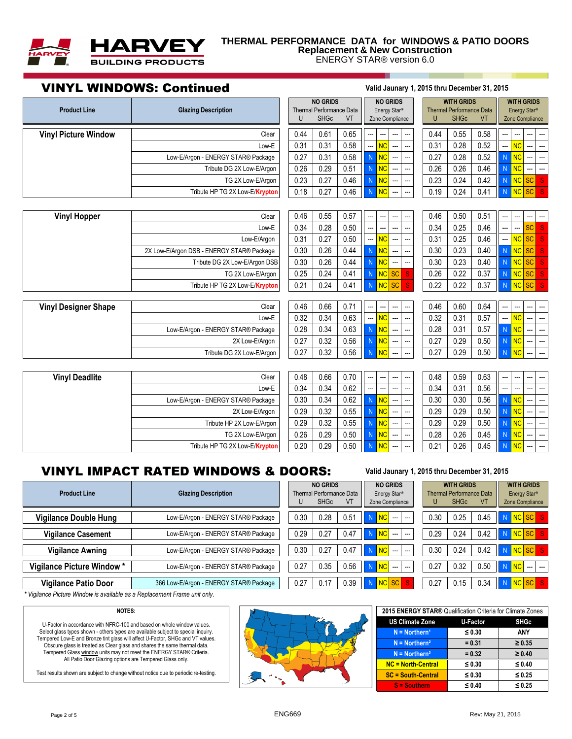

## **THERMAL PERFORMANCE DATA for WINDOWS & PATIO DOORS Replacement & New Construction**

ENERGY STAR® version 6.0

# VINYL WINDOWS: Continued **Valid Jaunary 1, 2015 thru December 31, 2015 Product Line Glazing Description** U SHGc VT Zone Compliance U U SHGc VT **Vinyl Picture Window | Clear 0.44 0.61 0.65 ------ 0.44 0.44 0.55 0.58** Low-E | | 0.31 | 0.31 | 0.58 || --- <mark>INC |</mark> --- | -- | | 0.31 | 0.28 | 0.52 || --- <mark>INC</mark> --- | ---Low-E/Argon - ENERGY STAR® Package 0.27 0.31 0.58 N NC --- --- 0.27 0.28 0.52 N NC --- --- Tribute DG 2X Low-E/Argon 0.26 0.29 0.51 N NC --- 0.26 0.26 0.26 0.46 N NC TG 2X Low-E/Argon | | 0.23 | 0.27 | 0.46 N N <mark>NC --- | -- | | 0.23 | 0.24 | 0.42 N N NC SC S</mark> Tribute HP TG 2X Low-E/**Krypton** | 0.18 | 0.27 | 0.46 | N NC --- | -- | 0.19 | 0.24 | 0.41 | N NC **Vinyl Hopper** Clear 0.46 0.55 0.57 --- --- --- --- 0.46 0.50 0.51 --- --- --- --- Low-E | | 0.34 | 0.28 | 0.50 || --- | --- | --- | -- | 0.34 | 0.25 | 0.46 || --- |--- | <mark>SC | S |</mark> Low-E/Argon | | 0.31 | 0.27 | 0.50 || --- <mark>INC |</mark> --- | -- | | 0.31 | 0.25 | 0.46 || --- <mark>INC | SC | S |</mark> 2X Low-E/Argon DSB - ENERGY STAR® Package  $\vert\,\,\vert$  0.30  $\vert\,\,\,$  0.26  $\vert\,\,\,$  0.44  $\vert\,\,\,$  N  $\,\,\,$  NC  $\vert$  ---  $\vert\,\,\,\,$   $\vert\,\,\,$  0.23  $\vert\,\,\,$  0.40  $\vert\,\,\,$  N  $\vert$  NC  $\vert$  SC  $\vert$  S Tribute DG 2X Low-E/Argon DSB | 0.30 | 0.26 | 0.44 | N NC -- | -- | 0.30 | 0.23 | 0.40 | N NC SC TG 2X Low-E/Argon | 0.25 | 0.24 | 0.41 N N NC SC S | 0.26 | 0.22 | 0.37 N NC SC Tribute HP TG 2X Low-E/**Krypton** | 0.21 | 0.24 | 0.41 | N NC SC S | 0.22 | 0.22 | 0.37 N NC SC **Vinyl Designer Shape** Clear 0.46 0.66 0.71 --- --- --- --- 0.46 0.60 0.64 --- --- --- --- Low-E | | 0.32 | 0.34 | 0.63 || --- <mark>INC |</mark> --- | -- | | 0.32 | 0.31 | 0.57 || --- <mark>INC</mark> --- | ---Low-E/Argon - ENERGY STAR® Package 0.28 0.34 0.63 N NC --- --- 0.28 0.31 0.57 N NC --- --- 2X Low-E/Argon | | 0.27 | 0.32 | 0.56 | N NC --- | --- | | 0.27 | 0.29 | 0.50 | N NC --- | ---Tribute DG 2X Low-E/Argon | 0.27 | 0.32 | 0.56 N N  $\overline{NC}$  --- | 0.27 | 0.29 | 0.50 N NC **Vinyl Deadlite Clear | | 0.48 | 0.66 | 0.70 || -- | --- | -- | -- | -0.48 | 0.59 | 0.63 || -- | -- | --- | ---**Low-E | | 0.34 | 0.34 | 0.62 ||---|--|--| --| | 0.34 | 0.31 | 0.56 ||--|--|--|---Low-E/Argon - ENERGY STAR® Package | 0.30 0.34 0.62 N N  $\overline{NC}$  ---  $-$  0.30 0.30 0.30 0.56 N N  $\overline{NC}$ 2X Low-E/Argon | | 0.29 | 0.32 | 0.55 |<mark>| N || NC</mark> --- | -- | | 0.29 | 0.29 | 0.50 |<mark>| N || NC</mark> Tribute HP 2X Low-E/Argon 0.29 0.32 0.55 N NC --- --- 0.29 0.29 0.50 N NC --- --- TG 2X Low-E/Argon | | 0.26 | 0.29 | 0.50 N N NC --- | --- | | 0.28 | 0.26 | 0.45 N N NC Tribute HP TG 2X Low-E/**Krypton** | 0.20 0.29 0.50 N NC -- - | 0.21 0.26 0.45 N NC Thermal Performance Data | Energy Star® | Thermal Performance Data | Energy Star® Zone Compliance **NO GRIDS NO GRIDS WITH GRIDS WITH GRIDS**

# **VINYL IMPACT RATED WINDOWS & DOORS:**  $\frac{1}{2}$

| <b>Product Line</b>          | <b>Glazing Description</b>             |      | <b>NO GRIDS</b><br>Thermal Performance Data<br><b>SHGc</b> | VT   | <b>NO GRIDS</b><br>Energy Star <sup>®</sup><br>Zone Compliance |      | <b>WITH GRIDS</b><br><b>Thermal Performance Data</b><br><b>SHGc</b> | <b>VT</b> | <b>WITH GRIDS</b><br>Energy Star <sup>®</sup><br>Zone Compliance |
|------------------------------|----------------------------------------|------|------------------------------------------------------------|------|----------------------------------------------------------------|------|---------------------------------------------------------------------|-----------|------------------------------------------------------------------|
| <b>Vigilance Double Hung</b> | Low-E/Argon - ENERGY STAR® Package     | 0.30 | 0.28                                                       | 0.51 | <b>NC</b><br>N<br>المسترد المستندر                             | 0.30 | 0.25                                                                | 0.45      | NC SC S<br>$\blacksquare$                                        |
| <b>Vigilance Casement</b>    | Low-E/Argon - ENERGY STAR® Package     | 0.29 | 0.27                                                       | 0.47 | N<br>$\overline{\textsf{NC}}$<br>--- --                        | 0.29 | 0.24                                                                | 0.42      | NC SC S<br>N                                                     |
| <b>Vigilance Awning</b>      | Low-E/Argon - ENERGY STAR® Package     | 0.30 | 0.27                                                       | 0.47 | NC<br>N<br>$\sim$ $\sim$                                       | 0.30 | 0.24                                                                | 0.42      | NC SC S<br>II N                                                  |
| Vigilance Picture Window *   | Low-E/Argon - ENERGY STAR® Package     | 0.27 | 0.35                                                       | 0.56 | <b>NC</b><br>N<br><b>The Property Control</b>                  | 0.27 | 0.32                                                                | 0.50      | <b>NC</b><br>$\sim$<br>$\sim$                                    |
| <b>Vigilance Patio Door</b>  | 366 Low-E/Argon - ENERGY STAR® Package | 0.27 | 0.17                                                       | 0.39 | NC SC<br>N                                                     | 0.27 | 0.15                                                                | 0.34      | NCSC <sub>S</sub><br>$\blacksquare$                              |

*\* Vigilance Picture Window is available as a Replacement Frame unit only.*

### **NOTES:**

U-Factor in accordance with NFRC-100 and based on whole window values. Select glass types shown - others types are available subject to special inquiry. Tempered Low-E and Bronze tint glass will affect U-Factor, SHGc and VT values. Obscure glass is treated as Clear glass and shares the same thermal data. Tempered Glass window units may not meet the ENERGY STAR® Criteria. All Patio Door Glazing options are Tempered Glass only.

Test results shown are subject to change without notice due to periodic re-testing.



|  |  | 'alid Jaunary 1, 2015 thru December 31, 2015 |  |
|--|--|----------------------------------------------|--|
|--|--|----------------------------------------------|--|

**NO GRIDS NO GRIDS WITH GRIDS WITH GRIDS** Thermal Performance Data | Energy Star® | Thermal Performance Data | Energy Star®

| 2015 ENERGY STAR® Qualification Criteria for Climate Zones |             |             |  |  |  |  |  |  |  |
|------------------------------------------------------------|-------------|-------------|--|--|--|--|--|--|--|
| <b>US Climate Zone</b>                                     | U-Factor    | <b>SHGc</b> |  |  |  |  |  |  |  |
| $N = \text{Northern}^1$                                    | $\leq 0.30$ | ANY         |  |  |  |  |  |  |  |
| $N = \text{Northern}^2$                                    | $= 0.31$    | $\geq 0.35$ |  |  |  |  |  |  |  |
| $N = \text{Northern}^3$                                    | $= 0.32$    | $\geq 0.40$ |  |  |  |  |  |  |  |
| NC = North-Central                                         | $\leq 0.30$ | $\leq 0.40$ |  |  |  |  |  |  |  |
| <b>SC = South-Central</b>                                  | $\leq 0.30$ | $\leq 0.25$ |  |  |  |  |  |  |  |
| $S =$ Southern                                             | $\leq 0.40$ | $\leq 0.25$ |  |  |  |  |  |  |  |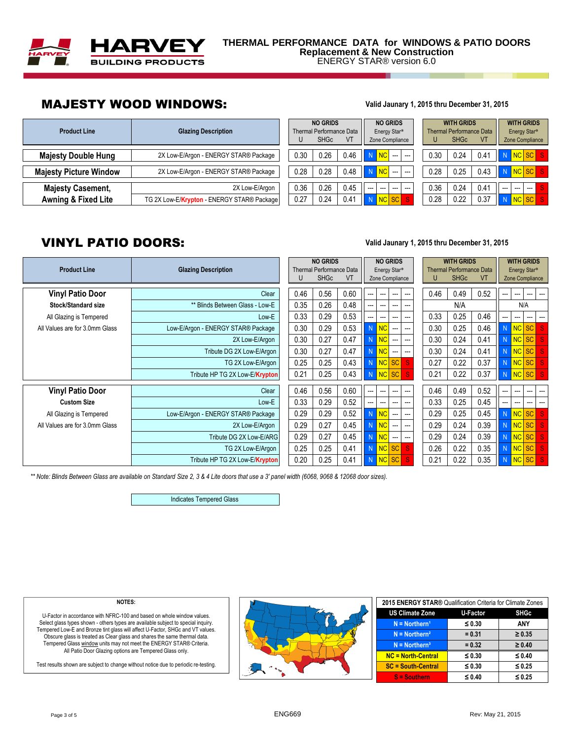

# MAJESTY WOOD WINDOWS: **Valid Jaunary 1, 2015 thru December 31, 2015**

| <b>Product Line</b>            | <b>Glazing Description</b>                 |      | <b>NO GRIDS</b><br>Thermal Performance Data<br><b>SHGc</b> | VT   | <b>NO GRIDS</b><br>Energy Star <sup>®</sup><br>Zone Compliance |      | <b>WITH GRIDS</b><br><b>Thermal Performance Data</b><br><b>SHGc</b> | <b>VT</b> | <b>WITH GRIDS</b><br>Energy Star <sup>®</sup><br>Zone Compliance |  |  |  |
|--------------------------------|--------------------------------------------|------|------------------------------------------------------------|------|----------------------------------------------------------------|------|---------------------------------------------------------------------|-----------|------------------------------------------------------------------|--|--|--|
| <b>Majesty Double Hung</b>     | 2X Low-E/Argon - ENERGY STAR® Package      | 0.30 | 0.26                                                       | 0.46 | NC<br>$\sim$ $\sim$ $\sim$                                     | 0.30 | 0.24                                                                | 0.41      | NC SC S                                                          |  |  |  |
| <b>Majesty Picture Window</b>  | 2X Low-E/Argon - ENERGY STAR® Package      | 0.28 | 0.28                                                       | 0.48 | <b>NC</b><br>and the same                                      | 0.28 | 0.25                                                                | 0.43      | NC SC S                                                          |  |  |  |
| <b>Majesty Casement,</b>       | 2X Low-E/Argon                             | 0.36 | 0.26                                                       | 0.45 | $- - -$<br>$- - -$<br>$--$<br>$---$                            | 0.36 | 0.24                                                                | 0.41      | $--$<br>$-$<br>$--$                                              |  |  |  |
| <b>Awning &amp; Fixed Lite</b> | TG 2X Low-E/Krypton - ENERGY STAR® Package | 0.27 | 0.24                                                       | 0.41 | <b>NC</b><br><b>SC</b>                                         | 0.28 | 0.22                                                                | 0.37      | NC SC                                                            |  |  |  |

|      | <b>NO GRIDS</b><br><b>SHGc</b> | <b>Thermal Performance Data</b><br>VT |     |           | <b>NO GRIDS</b><br>Energy Star <sup>®</sup><br>Zone Compliance |     |              | <b>WITH GRIDS</b><br><b>Thermal Performance Data</b><br><b>SHGc</b> | VT   |     | <b>WITH GRIDS</b><br>Energy Star <sup>®</sup><br>Zone Complianc |           |  |
|------|--------------------------------|---------------------------------------|-----|-----------|----------------------------------------------------------------|-----|--------------|---------------------------------------------------------------------|------|-----|-----------------------------------------------------------------|-----------|--|
| 0.30 | 0.26                           | 0.46                                  | N   | <b>NC</b> |                                                                |     | 0.30         | 0.24                                                                | 0.41 | N   | <b>NC</b>                                                       | <b>SC</b> |  |
| 0.28 | 0.28                           | 0.48                                  | N   | <b>NC</b> |                                                                |     | 0.28         | 0.25                                                                | 0.43 | N   | <b>NC</b>                                                       | <b>SC</b> |  |
| 0.36 | 0.26                           | 0.45                                  | --- | ---       |                                                                | --- | 0.36         | 0.24                                                                | 0.41 | --- | ---                                                             | ---       |  |
| 0.27 | 0.24                           | 0.41                                  | Ñ   | <b>NC</b> |                                                                | S   | 0.28<br>0.22 |                                                                     | 0.37 | N   | <b>NC</b>                                                       | <b>SC</b> |  |

# VINYL PATIO DOORS: **Valid Jaunary 1, 2015 thru December 31, 2015**

| <b>Product Line</b>            | <b>Glazing Description</b>         |      | <b>NO GRIDS</b><br><b>Thermal Performance Data</b><br><b>SHGc</b> | VT   |     |              | <b>NO GRIDS</b><br>Energy Star <sup>®</sup><br>Zone Compliance |                          |      | <b>WITH GRIDS</b><br><b>Thermal Performance Data</b><br><b>SHGc</b> | <b>VT</b> |     | <b>WITH GRIDS</b><br>Energy Star <sup>®</sup><br>Zone Compliance |       |              |
|--------------------------------|------------------------------------|------|-------------------------------------------------------------------|------|-----|--------------|----------------------------------------------------------------|--------------------------|------|---------------------------------------------------------------------|-----------|-----|------------------------------------------------------------------|-------|--------------|
| <b>Vinyl Patio Door</b>        | Clear                              | 0.46 | 0.56                                                              | 0.60 |     | ---          | ---                                                            | ---                      | 0.46 | 0.49                                                                | 0.52      |     | ---                                                              |       | ---          |
| <b>Stock/Standard size</b>     | ** Blinds Between Glass - Low-E    | 0.35 | 0.26                                                              | 0.48 |     | ---          | ---                                                            | ---                      |      | N/A                                                                 |           |     |                                                                  | N/A   |              |
| All Glazing is Tempered        | Low-E                              | 0.33 | 0.29                                                              | 0.53 |     | ---          | ---                                                            | ---                      | 0.33 | 0.25                                                                | 0.46      |     | ---                                                              | ---   |              |
| All Values are for 3.0mm Glass | Low-E/Argon - ENERGY STAR® Package | 0.30 | 0.29                                                              | 0.53 | N   | NC           | ---                                                            | ---                      | 0.30 | 0.25                                                                | 0.46      |     | N NC SC                                                          |       | -S           |
|                                | 2X Low-E/Argon                     | 0.30 | 0.27                                                              | 0.47 | N   | <b>NC</b>    | $\overline{\phantom{a}}$                                       | $\sim$                   | 0.30 | 0.24                                                                | 0.41      | N.  | NC SC                                                            |       | -S           |
|                                | Tribute DG 2X Low-E/Argon          | 0.30 | 0.27                                                              | 0.47 | N   | <b>NC</b>    | $\sim$                                                         | $\hspace{0.05cm} \ldots$ | 0.30 | 0.24                                                                | 0.41      | N   | NC SC                                                            |       | <sub>S</sub> |
|                                | TG 2X Low-E/Argon                  | 0.25 | 0.25                                                              | 0.43 | N   | NC SC        |                                                                | -S                       | 0.27 | 0.22                                                                | 0.37      | N.  | NC SC                                                            |       | <sub>S</sub> |
|                                | Tribute HP TG 2X Low-E/Krypton     | 0.21 | 0.25                                                              | 0.43 | N   | $NC$ SC      |                                                                | $\mathbf{S}$             | 0.21 | 0.22                                                                | 0.37      |     | N NCSC S                                                         |       |              |
| <b>Vinyl Patio Door</b>        | Clear                              | 0.46 | 0.56                                                              | 0.60 | --- | ---          | $- - -$                                                        | $\sim$                   | 0.46 | 0.49                                                                | 0.52      |     | ---                                                              | ---   | ---          |
| <b>Custom Size</b>             | Low-E                              | 0.33 | 0.29                                                              | 0.52 |     | ---          | $\overline{a}$                                                 | ---                      | 0.33 | 0.25                                                                | 0.45      |     | ---                                                              | ---   | ---          |
| All Glazing is Tempered        | Low-E/Argon - ENERGY STAR® Package | 0.29 | 0.29                                                              | 0.52 | N   | NC           | $\overline{\phantom{a}}$                                       | $\sim$                   | 0.29 | 0.25                                                                | 0.45      |     | NC SC                                                            |       | -S           |
| All Values are for 3.0mm Glass | 2X Low-E/Argon                     | 0.29 | 0.27                                                              | 0.45 | N   | <b>NC</b>    | $\hspace{0.05cm} \ldots$                                       | $\hspace{0.05cm} \ldots$ | 0.29 | 0.24                                                                | 0.39      | N.  | NC SC                                                            |       | <sub>S</sub> |
|                                | Tribute DG 2X Low-E/ARG            | 0.29 | 0.27                                                              | 0.45 | N   | <b>NC</b>    | ---                                                            | ---                      | 0.29 | 0.24                                                                | 0.39      | N.  | NC SC                                                            |       |              |
|                                | TG 2X Low-E/Argon                  | 0.25 | 0.25                                                              | 0.41 | N   | $NC$ SC      |                                                                | -S                       | 0.26 | 0.22                                                                | 0.35      | 'N. | NC SC                                                            |       | -S           |
|                                | Tribute HP TG 2X Low-E/Krypton     | 0.20 | 0.25                                                              | 0.41 | N   | <b>NC SC</b> |                                                                | -S                       | 0.21 | 0.22                                                                | 0.35      |     |                                                                  | NC SC |              |

| ing Description                 | U    | <b>NO GRIDS</b><br><b>Thermal Performance Data</b><br><b>SHGc</b> | VT   |   | <b>NO GRIDS</b><br>Energy Star <sup>®</sup><br>Zone Compliance |           |                | U    | <b>WITH GRIDS</b><br><b>Thermal Performance Data</b><br><b>SHGc</b> | <b>VT</b> |   |           | <b>WITH GRIDS</b><br>Energy Star <sup>®</sup><br>Zone Compliance |              |
|---------------------------------|------|-------------------------------------------------------------------|------|---|----------------------------------------------------------------|-----------|----------------|------|---------------------------------------------------------------------|-----------|---|-----------|------------------------------------------------------------------|--------------|
|                                 |      |                                                                   |      |   |                                                                |           |                |      |                                                                     |           |   |           |                                                                  |              |
| Clear                           | 0.46 | 0.56                                                              | 0.60 |   |                                                                |           |                | 0.46 | 0.49                                                                | 0.52      |   |           |                                                                  |              |
| ** Blinds Between Glass - Low-E | 0.35 | 0.26                                                              | 0.48 |   |                                                                |           |                |      | N/A                                                                 |           |   |           | N/A                                                              |              |
| Low-E                           | 0.33 | 0.29                                                              | 0.53 |   |                                                                |           | ---            | 0.33 | 0.25                                                                | 0.46      |   | ---       |                                                                  |              |
| gon - ENERGY STAR® Package      | 0.30 | 0.29                                                              | 0.53 | N | <b>NC</b>                                                      |           | ---            | 0.30 | 0.25                                                                | 0.46      | N | <b>NC</b> | <b>SC</b>                                                        | <sub>S</sub> |
| 2X Low-E/Argon                  | 0.30 | 0.27                                                              | 0.47 | N | <b>NC</b>                                                      |           | ---            | 0.30 | 0.24                                                                | 0.41      | N | <b>NC</b> | <b>SC</b>                                                        | <sub>S</sub> |
| Tribute DG 2X Low-E/Argon       | 0.30 | 0.27                                                              | 0.47 | N | <b>NC</b>                                                      | ---       | ---            | 0.30 | 0.24                                                                | 0.41      | N | <b>NC</b> | <b>SC</b>                                                        | <sub>S</sub> |
| TG 2X Low-E/Araon               | 0.25 | 0.25                                                              | 0.43 | N | <b>NC</b>                                                      | <b>SC</b> | S              | 0.27 | 0.22                                                                | 0.37      | N | <b>NC</b> | <b>SC</b>                                                        | S            |
| Tribute HP TG 2X Low-E/Krypton  | 0.21 | 0.25                                                              | 0.43 | N | <b>NC</b>                                                      | <b>SC</b> | S.             | 0.21 | 0.22                                                                | 0.37      | N | <b>NC</b> | <b>SC</b>                                                        | <sub>S</sub> |
| Clear                           | 0.46 | 0.56                                                              | 0.60 |   | ---                                                            |           | ---            | 0.46 | 0.49                                                                | 0.52      |   | ---       |                                                                  |              |
| Low-E                           | 0.33 | 0.29                                                              | 0.52 |   | ---                                                            |           | ---            | 0.33 | 0.25                                                                | 0.45      |   | ---       |                                                                  | ---          |
| gon - ENERGY STAR® Package      | 0.29 | 0.29                                                              | 0.52 | N | <b>NC</b>                                                      | ---       | ---            | 0.29 | 0.25                                                                | 0.45      | N | <b>NC</b> | <b>SC</b>                                                        | S            |
| 2X Low-E/Argon                  | 0.29 | 0.27                                                              | 0.45 | N | <b>NC</b>                                                      |           | $\overline{a}$ | 0.29 | 0.24                                                                | 0.39      | N | <b>NC</b> | <b>SC</b>                                                        | S            |
| Tribute DG 2X Low-E/ARG         | 0.29 | 0.27                                                              | 0.45 | N | <b>NC</b>                                                      | ---       | ---            | 0.29 | 0.24                                                                | 0.39      | N | <b>NC</b> | <b>SC</b>                                                        | S            |
| TG 2X Low-E/Argon               | 0.25 | 0.25                                                              | 0.41 | N | <b>NC</b>                                                      | <b>SC</b> | <sub>S</sub>   | 0.26 | 0.22                                                                | 0.35      | N | <b>NC</b> | <b>SC</b>                                                        | <sub>S</sub> |
| Tribute HP TG 2X Low-E/Krypton  | 0.20 | 0.25                                                              | 0.41 | N | <b>NC</b>                                                      | <b>SC</b> | S.             | 0.21 | 0.22                                                                | 0.35      | N | <b>NC</b> | <b>SC</b>                                                        | S            |

*\*\* Note: Blinds Between Glass are available on Standard Size 2, 3 & 4 Lite doors that use a 3' panel width (6068, 9068 & 12068 door sizes).*

Indicates Tempered Glass

### **NOTES:**

U-Factor in accordance with NFRC-100 and based on whole window values. Select glass types shown - others types are available subject to special inquiry. Tempered Low-E and Bronze tint glass will affect U-Factor, SHGc and VT values. Obscure glass is treated as Clear glass and shares the same thermal data. Tempered Glass window units may not meet the ENERGY STAR® Criteria.<br>All Patio Door Glazing options are Tempered Glass only.

Test results shown are subject to change without notice due to periodic re-testing.



| 2015 ENERGY STAR® Qualification Criteria for Climate Zones |             |             |
|------------------------------------------------------------|-------------|-------------|
| <b>US Climate Zone</b>                                     | U-Factor    | <b>SHGc</b> |
| $N =$ Northern <sup>1</sup>                                | $\leq 0.30$ | ANY         |
| $N =$ Northern <sup>2</sup>                                | $= 0.31$    | $\geq 0.35$ |
| $N =$ Northern <sup>3</sup>                                | $= 0.32$    | $\geq 0.40$ |
| <b>NC = North-Central</b>                                  | $\leq 0.30$ | $\leq 0.40$ |
| <b>SC = South-Central</b>                                  | $\leq 0.30$ | ≤ 0.25      |
| $S =$ Southern                                             | $\leq 0.40$ | ≤ 0.25      |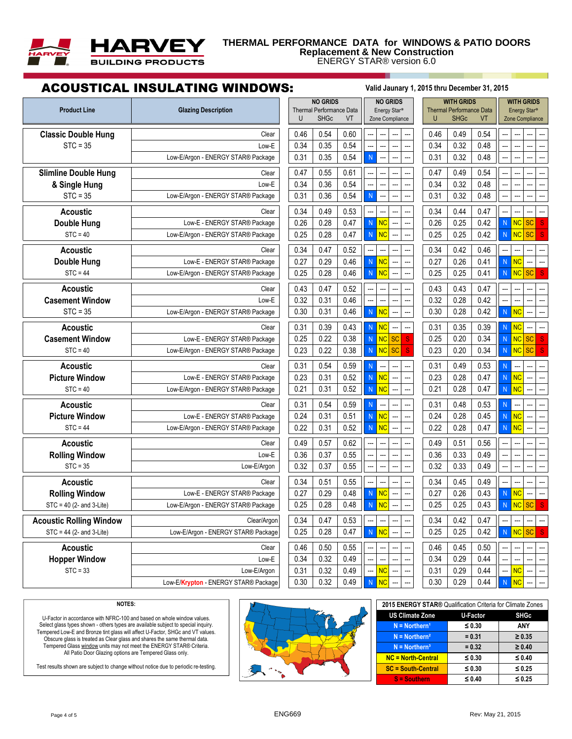

### **THERMAL PERFORMANCE DATA for WINDOWS & PATIO DOORS Replacement & New Construction** ENERGY STAR® version 6.0

# ACOUSTICAL INSULATING WINDOWS: **Valid Jaunary 1, 2015 thru December 31, 2015**

| <b>Product Line</b>            | <b>Glazing Description</b>           | <b>NO GRIDS</b><br><b>Thermal Performance Data</b><br><b>SHGc</b><br>U<br>VT | <b>NO GRIDS</b><br>Energy Star <sup>®</sup><br>Zone Compliance | <b>WITH GRIDS</b><br><b>Thermal Performance Data</b><br><b>SHGc</b><br><b>VT</b> | <b>WITH GRIDS</b><br>Energy Star <sup>®</sup><br>Zone Compliance |
|--------------------------------|--------------------------------------|------------------------------------------------------------------------------|----------------------------------------------------------------|----------------------------------------------------------------------------------|------------------------------------------------------------------|
| <b>Classic Double Hung</b>     | Clear                                | 0.54<br>0.60<br>0.46                                                         |                                                                | 0.49<br>0.46<br>0.54                                                             |                                                                  |
| $STC = 35$                     | Low-E                                | 0.54<br>0.34<br>0.35                                                         | <u></u><br>                                                    | 0.34<br>0.32<br>0.48                                                             |                                                                  |
|                                | Low-E/Argon - ENERGY STAR® Package   | 0.54<br>0.31<br>0.35                                                         | $\mathsf{N}$                                                   | 0.31<br>0.32<br>0.48                                                             |                                                                  |
| <b>Slimline Double Hung</b>    | Clear                                | 0.61<br>0.47<br>0.55                                                         |                                                                | 0.49<br>0.47<br>0.54                                                             |                                                                  |
| & Single Hung                  | Low-E                                | 0.54<br>0.34<br>0.36                                                         | Ξ.                                                             | 0.34<br>0.32<br>0.48                                                             |                                                                  |
| $STC = 35$                     | Low-E/Argon - ENERGY STAR® Package   | 0.36<br>0.54<br>0.31                                                         | $\overline{N}$                                                 | 0.32<br>0.48<br>0.31                                                             |                                                                  |
| <b>Acoustic</b>                | Clear                                | 0.53<br>0.34<br>0.49                                                         | Ξ.                                                             | 0.44<br>0.47<br>0.34                                                             |                                                                  |
| <b>Double Hung</b>             | Low-E - ENERGY STAR® Package         | 0.26<br>0.28<br>0.47                                                         | <b>NC</b><br>$\overline{N}$                                    | 0.26<br>0.25<br>0.42                                                             | <b>SC</b><br>N<br><b>NC</b><br><sub>S</sub>                      |
| $STC = 40$                     | Low-E/Argon - ENERGY STAR® Package   | 0.25<br>0.28<br>0.47                                                         | NC<br>$\overline{N}$                                           | 0.25<br>0.25<br>0.42                                                             | <b>NC</b><br><b>SC</b><br>${\sf N}$                              |
| <b>Acoustic</b>                | Clear                                | 0.34<br>0.47<br>0.52                                                         | ---                                                            | 0.34<br>0.42<br>0.46                                                             |                                                                  |
| <b>Double Hung</b>             | Low-E - ENERGY STAR® Package         | 0.27<br>0.29<br>0.46                                                         | $\overline{N}$<br><b>NC</b><br>Ξ.<br>$\overline{a}$            | 0.27<br>0.26<br>0.41                                                             | N<br><b>NC</b>                                                   |
| $STC = 44$                     | Low-E/Argon - ENERGY STAR® Package   | 0.28<br>0.46<br>0.25                                                         | NC<br>$\mathsf{N}$<br><br>$\overline{a}$                       | 0.25<br>0.41<br>0.25                                                             | N<br>SC<br>${\sf N}$<br>S                                        |
| <b>Acoustic</b>                | Clear                                | 0.52<br>0.43<br>0.47                                                         |                                                                | 0.43<br>0.47<br>0.43                                                             |                                                                  |
| <b>Casement Window</b>         | Low-E                                | 0.32<br>0.31<br>0.46                                                         | ---                                                            | 0.32<br>0.28<br>0.42                                                             | ---                                                              |
| $STC = 35$                     | Low-E/Argon - ENERGY STAR® Package   | 0.30<br>0.31<br>0.46                                                         | $\overline{N}$<br><b>NC</b><br>$\sim$<br>---                   | 0.30<br>0.28<br>0.42                                                             | $\overline{\overline{\mathsf{NC}}}$<br>${\sf N}$                 |
| <b>Acoustic</b>                | Clear                                | 0.31<br>0.39<br>0.43                                                         | <b>NC</b><br>$\mathsf{N}$                                      | 0.31<br>0.35<br>0.39                                                             | N<br><b>NC</b>                                                   |
| <b>Casement Window</b>         | Low-E - ENERGY STAR® Package         | 0.22<br>0.25<br>0.38                                                         | <b>NC</b><br>$\overline{N}$<br><b>SC</b><br><sub>S</sub>       | 0.25<br>0.20<br>0.34                                                             | $\overline{\big }$ NC<br><b>SC</b><br>N<br>S                     |
| $STC = 40$                     | Low-E/Argon - ENERGY STAR® Package   | 0.38<br>0.23<br>0.22                                                         | <b>NC</b><br><b>SC</b><br>${\sf N}$<br><sub>S</sub>            | 0.23<br>0.34<br>0.20                                                             | N NC<br><b>SC</b><br>S                                           |
| <b>Acoustic</b>                | Clear                                | 0.31<br>0.54<br>0.59                                                         | $\overline{N}$                                                 | 0.31<br>0.49<br>0.53                                                             | N                                                                |
| <b>Picture Window</b>          | Low-E - ENERGY STAR® Package         | 0.31<br>0.52<br>0.23                                                         | <b>NC</b><br>$\mathsf{N}$                                      | 0.23<br>0.28<br>0.47                                                             | <b>NC</b><br>N                                                   |
| $STC = 40$                     | Low-E/Argon - ENERGY STAR® Package   | 0.52<br>0.21<br>0.31                                                         | <b>NC</b><br>$\mathsf{N}$                                      | 0.21<br>0.28<br>0.47                                                             | <b>NC</b><br>${\sf N}$                                           |
| <b>Acoustic</b>                | Clear                                | 0.54<br>0.59<br>0.31                                                         | $\mathsf{N}$                                                   | 0.31<br>0.48<br>0.53                                                             | N<br>$\overline{a}$                                              |
| <b>Picture Window</b>          | Low-E - ENERGY STAR® Package         | 0.31<br>0.24<br>0.51                                                         | <b>NC</b><br>$\overline{N}$                                    | 0.45<br>0.24<br>0.28                                                             | NC<br>N                                                          |
| $STC = 44$                     | Low-E/Argon - ENERGY STAR® Package   | 0.22<br>0.31<br>0.52                                                         | <b>NC</b><br>$\overline{N}$                                    | 0.22<br>0.28<br>0.47                                                             | NC<br>$\mathsf{N}$                                               |
| <b>Acoustic</b>                | Clear                                | 0.57<br>0.62<br>0.49                                                         | ---                                                            | 0.49<br>0.51<br>0.56                                                             |                                                                  |
| <b>Rolling Window</b>          | Low-E                                | 0.36<br>0.37<br>0.55                                                         | …<br>$\overline{a}$<br>---<br>$\overline{a}$                   | 0.36<br>0.33<br>0.49                                                             |                                                                  |
| $STC = 35$                     | Low-E/Argon                          | 0.32<br>0.37<br>0.55                                                         | ä.<br>$\sim$<br>$\sim$                                         | 0.32<br>0.33<br>0.49                                                             | $\sim$<br>Ξ.                                                     |
| <b>Acoustic</b>                | Clear                                | 0.55<br>0.34<br>0.51                                                         | ---<br>---                                                     | 0.49<br>0.34<br>0.45                                                             |                                                                  |
| <b>Rolling Window</b>          | Low-E - ENERGY STAR® Package         | 0.29<br>0.48<br>0.27                                                         | <b>NC</b><br>$\mathsf{N}$                                      | 0.27<br>0.26<br>0.43                                                             | $\overline{\overline{\mathsf{NC}}}$<br>${\sf N}$<br>---          |
| STC = 40 (2- and 3-Lite)       | Low-E/Argon - ENERGY STAR® Package   | 0.28<br>0.48<br>0.25                                                         | <b>NC</b><br>N<br>$\overline{a}$                               | 0.25<br>0.25<br>0.43                                                             | <b>NC</b><br><b>SC</b><br><sub>S</sub><br>N                      |
| <b>Acoustic Rolling Window</b> | Clear/Argon                          | 0.47<br>0.34<br>0.53                                                         |                                                                | 0.34<br>0.42<br>0.47                                                             |                                                                  |
| $STC = 44$ (2- and 3-Lite)     | Low-E/Argon - ENERGY STAR® Package   | 0.28<br>0.47<br>0.25                                                         | ${\sf N}$<br>N                                                 | 0.25<br>0.25<br>0.42                                                             | <b>SC</b><br>N NC                                                |
| <b>Acoustic</b><br>Clear       |                                      | 0.46<br>0.50<br>0.55                                                         |                                                                | 0.46<br>0.45<br>0.50                                                             |                                                                  |
| <b>Hopper Window</b>           | Low-E                                | 0.32<br>0.49<br>0.34                                                         |                                                                | 0.34<br>0.29<br>0.44                                                             |                                                                  |
| $STC = 33$                     | Low-E/Argon                          | 0.32<br>0.49<br>0.31                                                         | <b>NC</b>                                                      | 0.31<br>0.29<br>0.44                                                             | NC                                                               |
|                                | Low-E/Krypton - ENERGY STAR® Package | 0.32<br>0.49<br>0.30                                                         | ${\sf N}$<br>N                                                 | 0.30<br>0.29<br>0.44                                                             | N <mark>NC</mark>                                                |

### **NOTES:**

U-Factor in accordance with NFRC-100 and based on whole window values. Select glass types shown - others types are available subject to special inquiry.<br>Tempered Low-E and Bronze tint glass will affect U-Factor, SHGc and VT values.<br>Obscure glass is treated as Clear glass and shares the same t All Patio Door Glazing options are Tempered Glass only.

Test results shown are subject to change without notice due to periodic re-testing.



| 2015 ENERGY STAR® Qualification Criteria for Climate Zones |             |             |
|------------------------------------------------------------|-------------|-------------|
| <b>US Climate Zone</b>                                     | U-Factor    | <b>SHGc</b> |
| $N = \text{Northern}^1$                                    | $\leq 0.30$ | ANY         |
| $N = \text{Northern}^2$                                    | $= 0.31$    | $\geq 0.35$ |
| $N =$ Northern <sup>3</sup>                                | $= 0.32$    | $\geq 0.40$ |
| <b>NC = North-Central</b>                                  | $\leq 0.30$ | $\leq 0.40$ |
| <b>SC = South-Central</b>                                  | $\leq 0.30$ | ≤ 0.25      |
| $S =$ Southern                                             | $\leq 0.40$ | $\leq 0.25$ |